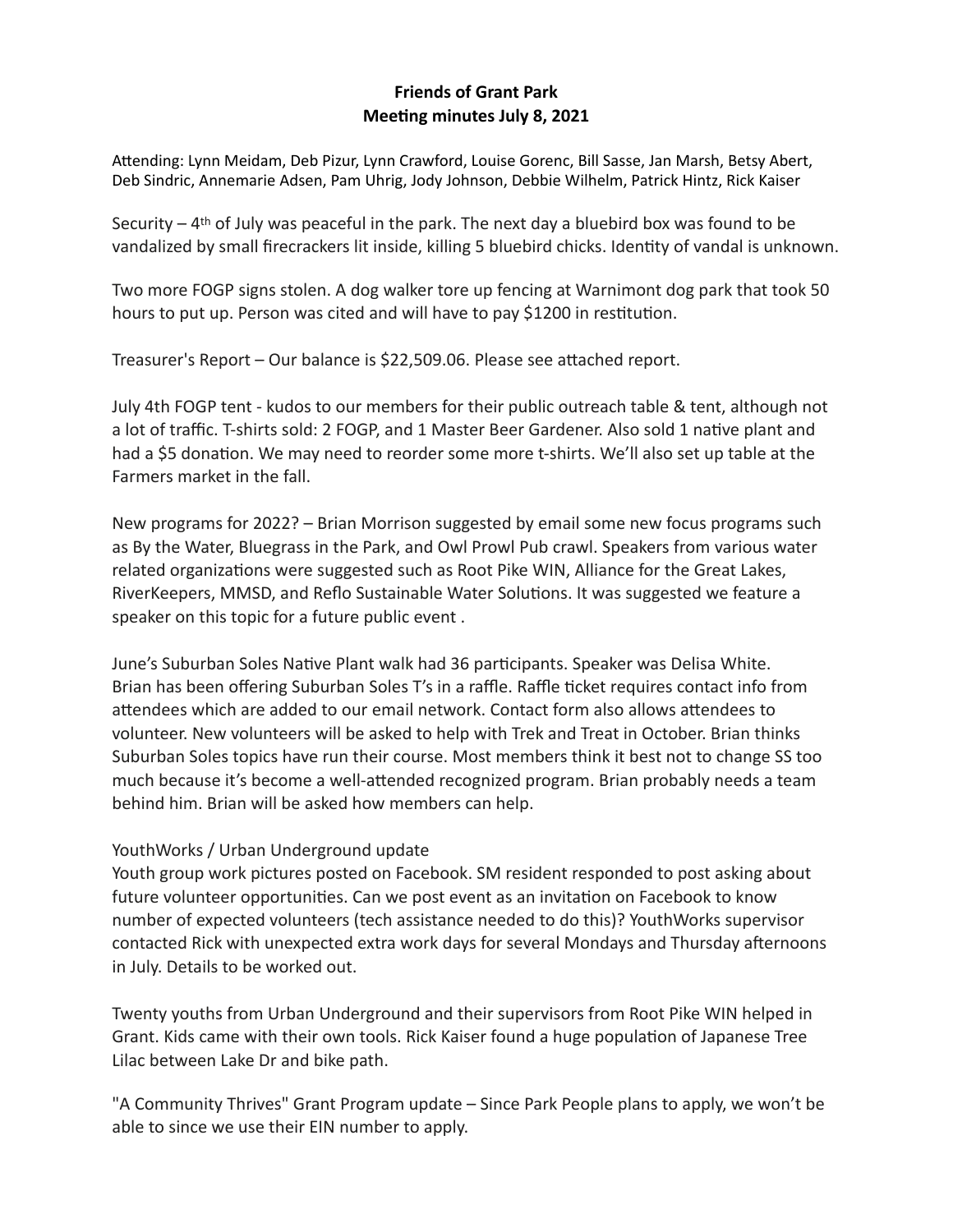## **Friends of Grant Park Meeting minutes July 8, 2021**

Attending: Lynn Meidam, Deb Pizur, Lynn Crawford, Louise Gorenc, Bill Sasse, Jan Marsh, Betsy Abert, Deb Sindric, Annemarie Adsen, Pam Uhrig, Jody Johnson, Debbie Wilhelm, Patrick Hintz, Rick Kaiser

Security  $-4$ <sup>th</sup> of July was peaceful in the park. The next day a bluebird box was found to be vandalized by small firecrackers lit inside, killing 5 bluebird chicks. Identity of vandal is unknown.

Two more FOGP signs stolen. A dog walker tore up fencing at Warnimont dog park that took 50 hours to put up. Person was cited and will have to pay \$1200 in restitution.

Treasurer's Report – Our balance is \$22,509.06. Please see attached report.

July 4th FOGP tent - kudos to our members for their public outreach table & tent, although not a lot of traffic. T-shirts sold: 2 FOGP, and 1 Master Beer Gardener. Also sold 1 native plant and had a \$5 donation. We may need to reorder some more t-shirts. We'll also set up table at the Farmers market in the fall.

New programs for 2022? – Brian Morrison suggested by email some new focus programs such as By the Water, Bluegrass in the Park, and Owl Prowl Pub crawl. Speakers from various water related organizations were suggested such as Root Pike WIN, Alliance for the Great Lakes, RiverKeepers, MMSD, and Reflo Sustainable Water Solutions. It was suggested we feature a speaker on this topic for a future public event .

June's Suburban Soles Native Plant walk had 36 participants. Speaker was Delisa White. Brian has been offering Suburban Soles T's in a raffle. Raffle ticket requires contact info from attendees which are added to our email network. Contact form also allows attendees to volunteer. New volunteers will be asked to help with Trek and Treat in October. Brian thinks Suburban Soles topics have run their course. Most members think it best not to change SS too much because it's become a well-attended recognized program. Brian probably needs a team behind him. Brian will be asked how members can help.

## YouthWorks / Urban Underground update

Youth group work pictures posted on Facebook. SM resident responded to post asking about future volunteer opportunities. Can we post event as an invitation on Facebook to know number of expected volunteers (tech assistance needed to do this)? YouthWorks supervisor contacted Rick with unexpected extra work days for several Mondays and Thursday afternoons in July. Details to be worked out.

Twenty youths from Urban Underground and their supervisors from Root Pike WIN helped in Grant. Kids came with their own tools. Rick Kaiser found a huge population of Japanese Tree Lilac between Lake Dr and bike path.

"A Community Thrives" Grant Program update – Since Park People plans to apply, we won't be able to since we use their EIN number to apply.